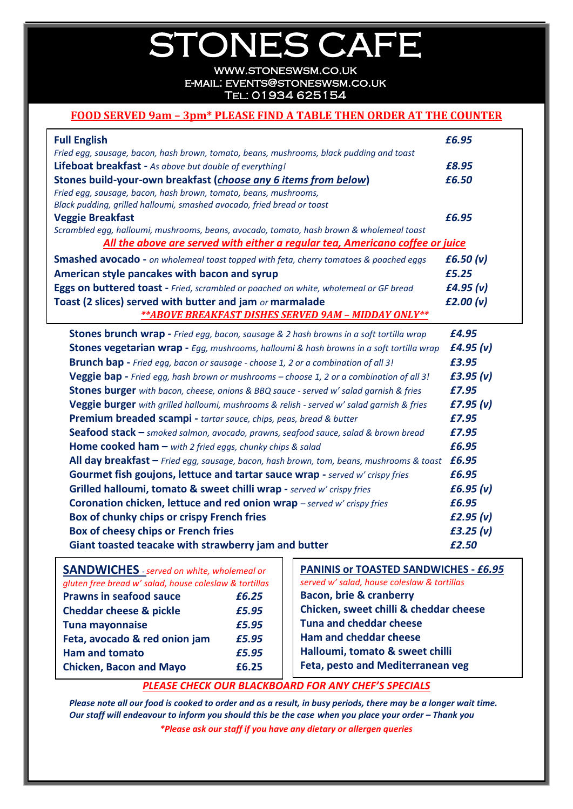## STONES CAFE

[www.stoneswsm.co.uk](http://www.stoneswsm.co.uk/) e-mail: [events@stoneswsm.co.uk](mailto:events@stoneswsm.co.uk)  Tel: 01934 625154

### **FOOD SERVED 9am – 3pm\* PLEASE FIND A TABLE THEN ORDER AT THE COUNTER**

| <b>Full English</b>                                                                              | £6.95       |
|--------------------------------------------------------------------------------------------------|-------------|
| Fried egg, sausage, bacon, hash brown, tomato, beans, mushrooms, black pudding and toast         |             |
| Lifeboat breakfast - As above but double of everything!                                          | £8.95       |
| Stones build-your-own breakfast (choose any 6 items from below)                                  | £6.50       |
| Fried egg, sausage, bacon, hash brown, tomato, beans, mushrooms,                                 |             |
| Black pudding, grilled halloumi, smashed avocado, fried bread or toast                           |             |
| <b>Veggie Breakfast</b>                                                                          | £6.95       |
| Scrambled egg, halloumi, mushrooms, beans, avocado, tomato, hash brown & wholemeal toast         |             |
| All the above are served with either a regular tea, Americano coffee or juice                    |             |
| <b>Smashed avocado</b> - on wholemeal toast topped with feta, cherry tomatoes & poached eggs     | £6.50 (v)   |
| American style pancakes with bacon and syrup                                                     | £5.25       |
| Eggs on buttered toast - Fried, scrambled or poached on white, wholemeal or GF bread             | £4.95 $(v)$ |
| Toast (2 slices) served with butter and jam or marmalade                                         | f2.00 (v)   |
| ** ABOVE BREAKFAST DISHES SERVED 9AM - MIDDAY ONLY**                                             |             |
| <b>Stones brunch wrap</b> - Fried egg, bacon, sausage & 2 hash browns in a soft tortilla wrap    | £4.95       |
| <b>Stones vegetarian wrap -</b> Egg, mushrooms, halloumi & hash browns in a soft tortilla wrap   | f4.95 (v)   |
| <b>Brunch bap</b> - Fried egg, bacon or sausage - choose 1, 2 or a combination of all 3!         | £3.95       |
| <b>Veggie bap</b> - Fried egg, hash brown or mushrooms – choose 1, 2 or a combination of all 3!  | £3.95 (v)   |
| <b>Stones burger</b> with bacon, cheese, onions & BBQ sauce - served w' salad garnish & fries    | £7.95       |
| <b>Veggie burger</b> with grilled halloumi, mushrooms & relish - served w' salad garnish & fries | f7.95 (v)   |
| Premium breaded scampi - tartar sauce, chips, peas, bread & butter                               | £7.95       |
| Seafood stack - smoked salmon, avocado, prawns, seafood sauce, salad & brown bread               | £7.95       |
| <b>Home cooked ham –</b> with 2 fried eggs, chunky chips & salad                                 | £6.95       |
| All day breakfast - Fried egg, sausage, bacon, hash brown, tom, beans, mushrooms & toast         | £6.95       |
| Gourmet fish goujons, lettuce and tartar sauce wrap - served w' crispy fries                     | £6.95       |
| Grilled halloumi, tomato & sweet chilli wrap - served w' crispy fries                            | £6.95 (v)   |
| Coronation chicken, lettuce and red onion wrap - served w' crispy fries                          | £6.95       |
| Box of chunky chips or crispy French fries                                                       | f2.95(v)    |
| Box of cheesy chips or French fries                                                              | f3.25 (v)   |
| Giant toasted teacake with strawberry jam and butter                                             | £2.50       |

| <b>SANDWICHES</b> - served on white, wholemeal or      |       |  |  |
|--------------------------------------------------------|-------|--|--|
| gluten free bread w' salad, house coleslaw & tortillas |       |  |  |
| <b>Prawns in seafood sauce</b>                         | £6.25 |  |  |
| <b>Cheddar cheese &amp; pickle</b>                     | £5.95 |  |  |
| <b>Tuna mayonnaise</b>                                 | £5.95 |  |  |
| Feta, avocado & red onion jam                          | £5.95 |  |  |
| <b>Ham and tomato</b>                                  | £5.95 |  |  |
| <b>Chicken, Bacon and Mayo</b>                         | £6.25 |  |  |

**PANINIS or TOASTED SANDWICHES -** *£6.95 served w' salad, house coleslaw & tortillas* **Bacon, brie & cranberry Chicken, sweet chilli & cheddar cheese Tuna and cheddar cheese Ham and cheddar cheese Halloumi, tomato & sweet chilli Feta, pesto and Mediterranean veg**

### *PLEASE CHECK OUR BLACKBOARD FOR ANY CHEF'S SPECIALS*

*Please note all our food is cooked to order and as a result, in busy periods, there may be a longer wait time. Our staff will endeavour to inform you should this be the case when you place your order - Thank you \*Please ask our staff if you have any dietary or allergen queries*